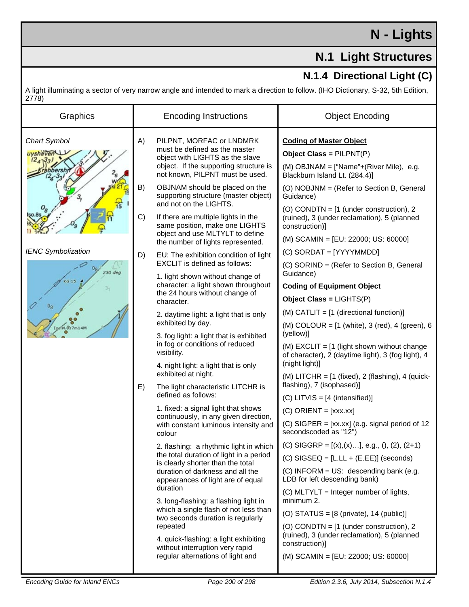## **N - Lights**

## **N.1 Light Structures**

## **N.1.4 Directional Light (C)**

A light illuminating a sector of very narrow angle and intended to mark a direction to follow. (IHO Dictionary, S-32, 5th Edition, 2778)

| Graphics                        |          | <b>Encoding Instructions</b>                                                                                                                                                                                                                                                                                                                                                                                                                                    | <b>Object Encoding</b>                                                                                                                 |
|---------------------------------|----------|-----------------------------------------------------------------------------------------------------------------------------------------------------------------------------------------------------------------------------------------------------------------------------------------------------------------------------------------------------------------------------------------------------------------------------------------------------------------|----------------------------------------------------------------------------------------------------------------------------------------|
| <b>Chart Symbol</b><br>uyshaven | A)       | PILPNT, MORFAC or LNDMRK<br>must be defined as the master<br>object with LIGHTS as the slave<br>object. If the supporting structure is<br>not known, PILPNT must be used.                                                                                                                                                                                                                                                                                       | <b>Coding of Master Object</b><br>Object Class = PILPNT(P)<br>(M) OBJNAM = ["Name"+(River Mile), e.g.<br>Blackburn Island Lt. (284.4)] |
|                                 | B)<br>C) | OBJNAM should be placed on the<br>supporting structure (master object)<br>and not on the LIGHTS.                                                                                                                                                                                                                                                                                                                                                                | (O) NOBJNM = (Refer to Section B, General<br>Guidance)                                                                                 |
|                                 |          | If there are multiple lights in the<br>same position, make one LIGHTS<br>object and use MLTYLT to define<br>the number of lights represented.                                                                                                                                                                                                                                                                                                                   | (O) CONDTN = $[1$ (under construction), 2<br>(ruined), 3 (under reclamation), 5 (planned<br>construction)]                             |
|                                 |          |                                                                                                                                                                                                                                                                                                                                                                                                                                                                 | (M) SCAMIN = [EU: 22000; US: 60000]                                                                                                    |
| <b>IENC Symbolization</b>       | D)       | EU: The exhibition condition of light                                                                                                                                                                                                                                                                                                                                                                                                                           | (C) SORDAT = [YYYYMMDD]                                                                                                                |
| 230 deg                         |          | EXCLIT is defined as follows:<br>1. light shown without change of                                                                                                                                                                                                                                                                                                                                                                                               | (C) SORIND = (Refer to Section B, General<br>Guidance)                                                                                 |
|                                 |          | character: a light shown throughout                                                                                                                                                                                                                                                                                                                                                                                                                             | <b>Coding of Equipment Object</b>                                                                                                      |
|                                 |          | the 24 hours without change of<br>character.                                                                                                                                                                                                                                                                                                                                                                                                                    | Object Class = LIGHTS(P)                                                                                                               |
|                                 |          | 2. daytime light: a light that is only                                                                                                                                                                                                                                                                                                                                                                                                                          | $(M)$ CATLIT = $[1$ (directional function)]                                                                                            |
|                                 |          | exhibited by day.<br>3. fog light: a light that is exhibited<br>in fog or conditions of reduced<br>visibility.<br>4. night light: a light that is only<br>exhibited at night.<br>The light characteristic LITCHR is<br>defined as follows:                                                                                                                                                                                                                      | (M) COLOUR = $[1 \text{ (white)}$ , 3 (red), 4 (green), 6<br>(yellow)]                                                                 |
|                                 |          |                                                                                                                                                                                                                                                                                                                                                                                                                                                                 | (M) $EXCLIT = [1$ (light shown without change<br>of character), 2 (daytime light), 3 (fog light), 4<br>(night light)]                  |
|                                 |          |                                                                                                                                                                                                                                                                                                                                                                                                                                                                 | (M) LITCHR = $[1 \text{ (fixed)}, 2 \text{ (flashing)}, 4 \text{ (quick-)}$                                                            |
|                                 | E)       |                                                                                                                                                                                                                                                                                                                                                                                                                                                                 | flashing), 7 (isophased)]                                                                                                              |
|                                 |          | 1. fixed: a signal light that shows<br>continuously, in any given direction,<br>with constant luminous intensity and<br>colour                                                                                                                                                                                                                                                                                                                                  | $(C)$ LITVIS = $[4 \text{ (intensified)}]$                                                                                             |
|                                 |          |                                                                                                                                                                                                                                                                                                                                                                                                                                                                 | $(C)$ ORIENT = [xxx.xx]                                                                                                                |
|                                 |          |                                                                                                                                                                                                                                                                                                                                                                                                                                                                 | (C) SIGPER = $[xx.xx]$ (e.g. signal period of 12<br>secondscoded as "12")                                                              |
|                                 |          | 2. flashing: a rhythmic light in which<br>the total duration of light in a period<br>is clearly shorter than the total<br>duration of darkness and all the<br>appearances of light are of equal<br>duration<br>3. long-flashing: a flashing light in<br>which a single flash of not less than<br>two seconds duration is regularly<br>repeated<br>4. quick-flashing: a light exhibiting<br>without interruption very rapid<br>regular alternations of light and | (C) SIGGRP = $[(x),(x)]$ , e.g., $(), (2), (2+1)$                                                                                      |
|                                 |          |                                                                                                                                                                                                                                                                                                                                                                                                                                                                 | $(C)$ SIGSEQ = [L.LL + (E.EE)] (seconds)                                                                                               |
|                                 |          |                                                                                                                                                                                                                                                                                                                                                                                                                                                                 | $(C)$ INFORM = US: descending bank (e.g.<br>LDB for left descending bank)                                                              |
|                                 |          |                                                                                                                                                                                                                                                                                                                                                                                                                                                                 | (C) MLTYLT = Integer number of lights,<br>minimum 2.                                                                                   |
|                                 |          |                                                                                                                                                                                                                                                                                                                                                                                                                                                                 | (O) STATUS = $[8 \text{ (private)}$ , 14 (public)]                                                                                     |
|                                 |          |                                                                                                                                                                                                                                                                                                                                                                                                                                                                 | (O) CONDTN = $[1$ (under construction), 2<br>(ruined), 3 (under reclamation), 5 (planned<br>construction)]                             |
|                                 |          |                                                                                                                                                                                                                                                                                                                                                                                                                                                                 | (M) SCAMIN = [EU: 22000; US: 60000]                                                                                                    |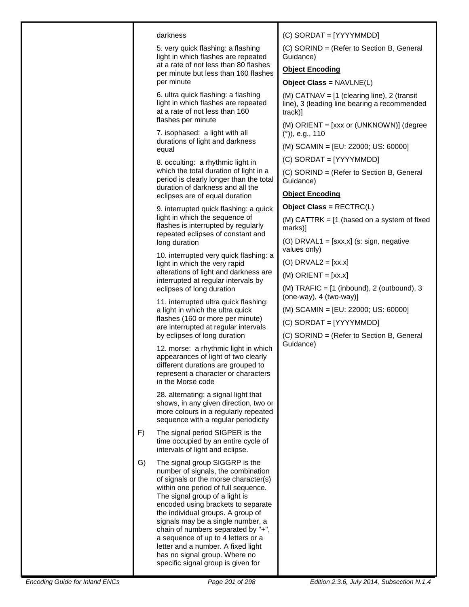| (C) SORDAT = [YYYYMMDD]<br>darkness<br>(C) SORIND = (Refer to Section B, General<br>5. very quick flashing: a flashing<br>light in which flashes are repeated<br>Guidance)<br>at a rate of not less than 80 flashes<br><b>Object Encoding</b><br>per minute but less than 160 flashes<br>per minute<br>Object Class = NAVLNE(L)<br>6. ultra quick flashing: a flashing<br>(M) CATNAV = $[1$ (clearing line), 2 (transit<br>light in which flashes are repeated<br>line), 3 (leading line bearing a recommended<br>at a rate of not less than 160<br>track)]<br>flashes per minute<br>(M) ORIENT = [xxx or (UNKNOWN)] (degree<br>7. isophased: a light with all<br>$(°)$ , e.g., 110<br>durations of light and darkness<br>(M) SCAMIN = [EU: 22000; US: 60000]<br>equal<br>(C) SORDAT = [YYYYMMDD]<br>8. occulting: a rhythmic light in<br>which the total duration of light in a<br>(C) SORIND = (Refer to Section B, General<br>period is clearly longer than the total<br>Guidance)<br>duration of darkness and all the<br><b>Object Encoding</b><br>eclipses are of equal duration<br>Object Class = RECTRC(L)<br>9. interrupted quick flashing: a quick<br>light in which the sequence of<br>(M) CATTRK = $[1$ (based on a system of fixed<br>flashes is interrupted by regularly<br>marks)]<br>repeated eclipses of constant and<br>(O) DRVAL1 = $[sxx.x]$ (s: sign, negative<br>long duration<br>values only)<br>10. interrupted very quick flashing: a<br>$(O)$ DRVAL2 = [xx.x]<br>light in which the very rapid<br>alterations of light and darkness are<br>$(M)$ ORIENT = [xx.x]<br>interrupted at regular intervals by<br>(M) $TRAFIC = [1 (inbound), 2 (outbound), 3]$<br>eclipses of long duration<br>$(one-way), 4 (two-way)$<br>11. interrupted ultra quick flashing:<br>(M) SCAMIN = [EU: 22000; US: 60000]<br>a light in which the ultra quick<br>flashes (160 or more per minute)<br>(C) SORDAT = [YYYYMMDD]<br>are interrupted at regular intervals<br>by eclipses of long duration<br>(C) SORIND = (Refer to Section B, General<br>Guidance)<br>12. morse: a rhythmic light in which<br>appearances of light of two clearly<br>different durations are grouped to<br>represent a character or characters<br>in the Morse code<br>28. alternating: a signal light that<br>shows, in any given direction, two or<br>more colours in a regularly repeated<br>sequence with a regular periodicity<br>F)<br>The signal period SIGPER is the<br>time occupied by an entire cycle of<br>intervals of light and eclipse.<br>The signal group SIGGRP is the<br>G)<br>number of signals, the combination<br>of signals or the morse character(s)<br>within one period of full sequence.<br>The signal group of a light is<br>encoded using brackets to separate<br>the individual groups. A group of<br>signals may be a single number, a<br>chain of numbers separated by "+",<br>a sequence of up to 4 letters or a<br>letter and a number. A fixed light<br>has no signal group. Where no<br>specific signal group is given for |  |  |  |
|---------------------------------------------------------------------------------------------------------------------------------------------------------------------------------------------------------------------------------------------------------------------------------------------------------------------------------------------------------------------------------------------------------------------------------------------------------------------------------------------------------------------------------------------------------------------------------------------------------------------------------------------------------------------------------------------------------------------------------------------------------------------------------------------------------------------------------------------------------------------------------------------------------------------------------------------------------------------------------------------------------------------------------------------------------------------------------------------------------------------------------------------------------------------------------------------------------------------------------------------------------------------------------------------------------------------------------------------------------------------------------------------------------------------------------------------------------------------------------------------------------------------------------------------------------------------------------------------------------------------------------------------------------------------------------------------------------------------------------------------------------------------------------------------------------------------------------------------------------------------------------------------------------------------------------------------------------------------------------------------------------------------------------------------------------------------------------------------------------------------------------------------------------------------------------------------------------------------------------------------------------------------------------------------------------------------------------------------------------------------------------------------------------------------------------------------------------------------------------------------------------------------------------------------------------------------------------------------------------------------------------------------------------------------------------------------------------------------------------------------------------------------------------------------------------------------------------------------------------------------------------------------------------------------------------------------------------------------------------------------------------------------------------------------|--|--|--|
|                                                                                                                                                                                                                                                                                                                                                                                                                                                                                                                                                                                                                                                                                                                                                                                                                                                                                                                                                                                                                                                                                                                                                                                                                                                                                                                                                                                                                                                                                                                                                                                                                                                                                                                                                                                                                                                                                                                                                                                                                                                                                                                                                                                                                                                                                                                                                                                                                                                                                                                                                                                                                                                                                                                                                                                                                                                                                                                                                                                                                                             |  |  |  |
|                                                                                                                                                                                                                                                                                                                                                                                                                                                                                                                                                                                                                                                                                                                                                                                                                                                                                                                                                                                                                                                                                                                                                                                                                                                                                                                                                                                                                                                                                                                                                                                                                                                                                                                                                                                                                                                                                                                                                                                                                                                                                                                                                                                                                                                                                                                                                                                                                                                                                                                                                                                                                                                                                                                                                                                                                                                                                                                                                                                                                                             |  |  |  |
|                                                                                                                                                                                                                                                                                                                                                                                                                                                                                                                                                                                                                                                                                                                                                                                                                                                                                                                                                                                                                                                                                                                                                                                                                                                                                                                                                                                                                                                                                                                                                                                                                                                                                                                                                                                                                                                                                                                                                                                                                                                                                                                                                                                                                                                                                                                                                                                                                                                                                                                                                                                                                                                                                                                                                                                                                                                                                                                                                                                                                                             |  |  |  |
|                                                                                                                                                                                                                                                                                                                                                                                                                                                                                                                                                                                                                                                                                                                                                                                                                                                                                                                                                                                                                                                                                                                                                                                                                                                                                                                                                                                                                                                                                                                                                                                                                                                                                                                                                                                                                                                                                                                                                                                                                                                                                                                                                                                                                                                                                                                                                                                                                                                                                                                                                                                                                                                                                                                                                                                                                                                                                                                                                                                                                                             |  |  |  |
|                                                                                                                                                                                                                                                                                                                                                                                                                                                                                                                                                                                                                                                                                                                                                                                                                                                                                                                                                                                                                                                                                                                                                                                                                                                                                                                                                                                                                                                                                                                                                                                                                                                                                                                                                                                                                                                                                                                                                                                                                                                                                                                                                                                                                                                                                                                                                                                                                                                                                                                                                                                                                                                                                                                                                                                                                                                                                                                                                                                                                                             |  |  |  |
|                                                                                                                                                                                                                                                                                                                                                                                                                                                                                                                                                                                                                                                                                                                                                                                                                                                                                                                                                                                                                                                                                                                                                                                                                                                                                                                                                                                                                                                                                                                                                                                                                                                                                                                                                                                                                                                                                                                                                                                                                                                                                                                                                                                                                                                                                                                                                                                                                                                                                                                                                                                                                                                                                                                                                                                                                                                                                                                                                                                                                                             |  |  |  |
|                                                                                                                                                                                                                                                                                                                                                                                                                                                                                                                                                                                                                                                                                                                                                                                                                                                                                                                                                                                                                                                                                                                                                                                                                                                                                                                                                                                                                                                                                                                                                                                                                                                                                                                                                                                                                                                                                                                                                                                                                                                                                                                                                                                                                                                                                                                                                                                                                                                                                                                                                                                                                                                                                                                                                                                                                                                                                                                                                                                                                                             |  |  |  |
|                                                                                                                                                                                                                                                                                                                                                                                                                                                                                                                                                                                                                                                                                                                                                                                                                                                                                                                                                                                                                                                                                                                                                                                                                                                                                                                                                                                                                                                                                                                                                                                                                                                                                                                                                                                                                                                                                                                                                                                                                                                                                                                                                                                                                                                                                                                                                                                                                                                                                                                                                                                                                                                                                                                                                                                                                                                                                                                                                                                                                                             |  |  |  |
|                                                                                                                                                                                                                                                                                                                                                                                                                                                                                                                                                                                                                                                                                                                                                                                                                                                                                                                                                                                                                                                                                                                                                                                                                                                                                                                                                                                                                                                                                                                                                                                                                                                                                                                                                                                                                                                                                                                                                                                                                                                                                                                                                                                                                                                                                                                                                                                                                                                                                                                                                                                                                                                                                                                                                                                                                                                                                                                                                                                                                                             |  |  |  |
|                                                                                                                                                                                                                                                                                                                                                                                                                                                                                                                                                                                                                                                                                                                                                                                                                                                                                                                                                                                                                                                                                                                                                                                                                                                                                                                                                                                                                                                                                                                                                                                                                                                                                                                                                                                                                                                                                                                                                                                                                                                                                                                                                                                                                                                                                                                                                                                                                                                                                                                                                                                                                                                                                                                                                                                                                                                                                                                                                                                                                                             |  |  |  |
|                                                                                                                                                                                                                                                                                                                                                                                                                                                                                                                                                                                                                                                                                                                                                                                                                                                                                                                                                                                                                                                                                                                                                                                                                                                                                                                                                                                                                                                                                                                                                                                                                                                                                                                                                                                                                                                                                                                                                                                                                                                                                                                                                                                                                                                                                                                                                                                                                                                                                                                                                                                                                                                                                                                                                                                                                                                                                                                                                                                                                                             |  |  |  |
|                                                                                                                                                                                                                                                                                                                                                                                                                                                                                                                                                                                                                                                                                                                                                                                                                                                                                                                                                                                                                                                                                                                                                                                                                                                                                                                                                                                                                                                                                                                                                                                                                                                                                                                                                                                                                                                                                                                                                                                                                                                                                                                                                                                                                                                                                                                                                                                                                                                                                                                                                                                                                                                                                                                                                                                                                                                                                                                                                                                                                                             |  |  |  |
|                                                                                                                                                                                                                                                                                                                                                                                                                                                                                                                                                                                                                                                                                                                                                                                                                                                                                                                                                                                                                                                                                                                                                                                                                                                                                                                                                                                                                                                                                                                                                                                                                                                                                                                                                                                                                                                                                                                                                                                                                                                                                                                                                                                                                                                                                                                                                                                                                                                                                                                                                                                                                                                                                                                                                                                                                                                                                                                                                                                                                                             |  |  |  |
|                                                                                                                                                                                                                                                                                                                                                                                                                                                                                                                                                                                                                                                                                                                                                                                                                                                                                                                                                                                                                                                                                                                                                                                                                                                                                                                                                                                                                                                                                                                                                                                                                                                                                                                                                                                                                                                                                                                                                                                                                                                                                                                                                                                                                                                                                                                                                                                                                                                                                                                                                                                                                                                                                                                                                                                                                                                                                                                                                                                                                                             |  |  |  |
|                                                                                                                                                                                                                                                                                                                                                                                                                                                                                                                                                                                                                                                                                                                                                                                                                                                                                                                                                                                                                                                                                                                                                                                                                                                                                                                                                                                                                                                                                                                                                                                                                                                                                                                                                                                                                                                                                                                                                                                                                                                                                                                                                                                                                                                                                                                                                                                                                                                                                                                                                                                                                                                                                                                                                                                                                                                                                                                                                                                                                                             |  |  |  |
|                                                                                                                                                                                                                                                                                                                                                                                                                                                                                                                                                                                                                                                                                                                                                                                                                                                                                                                                                                                                                                                                                                                                                                                                                                                                                                                                                                                                                                                                                                                                                                                                                                                                                                                                                                                                                                                                                                                                                                                                                                                                                                                                                                                                                                                                                                                                                                                                                                                                                                                                                                                                                                                                                                                                                                                                                                                                                                                                                                                                                                             |  |  |  |
|                                                                                                                                                                                                                                                                                                                                                                                                                                                                                                                                                                                                                                                                                                                                                                                                                                                                                                                                                                                                                                                                                                                                                                                                                                                                                                                                                                                                                                                                                                                                                                                                                                                                                                                                                                                                                                                                                                                                                                                                                                                                                                                                                                                                                                                                                                                                                                                                                                                                                                                                                                                                                                                                                                                                                                                                                                                                                                                                                                                                                                             |  |  |  |
|                                                                                                                                                                                                                                                                                                                                                                                                                                                                                                                                                                                                                                                                                                                                                                                                                                                                                                                                                                                                                                                                                                                                                                                                                                                                                                                                                                                                                                                                                                                                                                                                                                                                                                                                                                                                                                                                                                                                                                                                                                                                                                                                                                                                                                                                                                                                                                                                                                                                                                                                                                                                                                                                                                                                                                                                                                                                                                                                                                                                                                             |  |  |  |
|                                                                                                                                                                                                                                                                                                                                                                                                                                                                                                                                                                                                                                                                                                                                                                                                                                                                                                                                                                                                                                                                                                                                                                                                                                                                                                                                                                                                                                                                                                                                                                                                                                                                                                                                                                                                                                                                                                                                                                                                                                                                                                                                                                                                                                                                                                                                                                                                                                                                                                                                                                                                                                                                                                                                                                                                                                                                                                                                                                                                                                             |  |  |  |
|                                                                                                                                                                                                                                                                                                                                                                                                                                                                                                                                                                                                                                                                                                                                                                                                                                                                                                                                                                                                                                                                                                                                                                                                                                                                                                                                                                                                                                                                                                                                                                                                                                                                                                                                                                                                                                                                                                                                                                                                                                                                                                                                                                                                                                                                                                                                                                                                                                                                                                                                                                                                                                                                                                                                                                                                                                                                                                                                                                                                                                             |  |  |  |
|                                                                                                                                                                                                                                                                                                                                                                                                                                                                                                                                                                                                                                                                                                                                                                                                                                                                                                                                                                                                                                                                                                                                                                                                                                                                                                                                                                                                                                                                                                                                                                                                                                                                                                                                                                                                                                                                                                                                                                                                                                                                                                                                                                                                                                                                                                                                                                                                                                                                                                                                                                                                                                                                                                                                                                                                                                                                                                                                                                                                                                             |  |  |  |
|                                                                                                                                                                                                                                                                                                                                                                                                                                                                                                                                                                                                                                                                                                                                                                                                                                                                                                                                                                                                                                                                                                                                                                                                                                                                                                                                                                                                                                                                                                                                                                                                                                                                                                                                                                                                                                                                                                                                                                                                                                                                                                                                                                                                                                                                                                                                                                                                                                                                                                                                                                                                                                                                                                                                                                                                                                                                                                                                                                                                                                             |  |  |  |
|                                                                                                                                                                                                                                                                                                                                                                                                                                                                                                                                                                                                                                                                                                                                                                                                                                                                                                                                                                                                                                                                                                                                                                                                                                                                                                                                                                                                                                                                                                                                                                                                                                                                                                                                                                                                                                                                                                                                                                                                                                                                                                                                                                                                                                                                                                                                                                                                                                                                                                                                                                                                                                                                                                                                                                                                                                                                                                                                                                                                                                             |  |  |  |